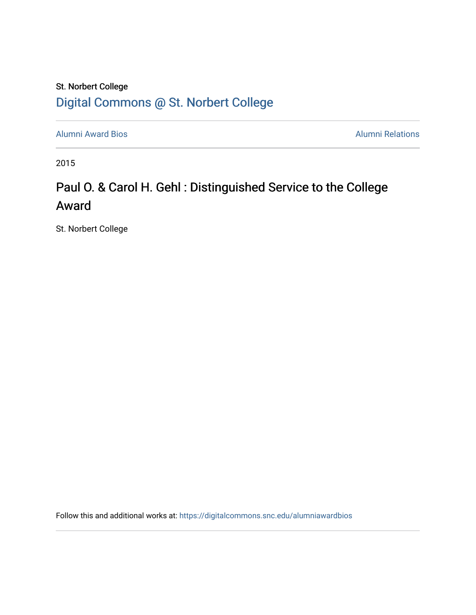### St. Norbert College [Digital Commons @ St. Norbert College](https://digitalcommons.snc.edu/)

[Alumni Award Bios](https://digitalcommons.snc.edu/alumniawardbios) **Alumni Relations** Alumni Relations

2015

## Paul O. & Carol H. Gehl : Distinguished Service to the College Award

St. Norbert College

Follow this and additional works at: [https://digitalcommons.snc.edu/alumniawardbios](https://digitalcommons.snc.edu/alumniawardbios?utm_source=digitalcommons.snc.edu%2Falumniawardbios%2F82&utm_medium=PDF&utm_campaign=PDFCoverPages)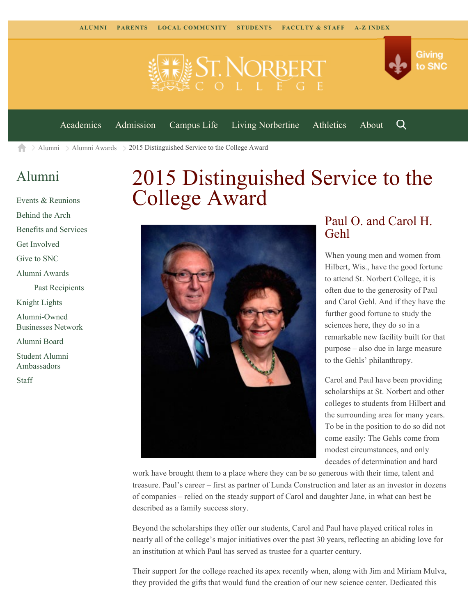



[Academics](https://www.snc.edu/academics) [Admission](https://www.snc.edu/admission) [Campus Life](https://www.snc.edu/campuslife) [Living Norbertine](https://www.snc.edu/livingnorbertine) [Athletics](https://www.snc.edu/athletics) [About](https://www.snc.edu/about)

Q

[Alumni](https://www.snc.edu/alumni/)  $\geq$  [Alumni Awards](https://www.snc.edu/alumni/awards/)  $\geq$  2015 Distinguished Service to the College Award A

#### [Alumni](https://www.snc.edu/alumni/index.html)

[Events & Reunions](https://www.snc.edu/alumni/event/index.html) [Behind the Arch](https://www.snc.edu/alumni/event/behindthearch/) [Benefits and Services](https://www.snc.edu/alumni/benefits.html) [Get Involved](https://www.snc.edu/alumni/getinvolved.html) [Give to SNC](http://giving.snc.edu/) [Alumni Awards](https://www.snc.edu/alumni/awards/index.html) [Past Recipients](https://www.snc.edu/alumni/awards/recipients.html) [Knight Lights](https://www.snc.edu/alumni/knightlights/index.html) [Alumni-Owned](https://www.snc.edu/alumni/directory/index.html) [Businesses Network](https://www.snc.edu/alumni/directory/index.html) [Alumni Board](https://www.snc.edu/alumni/alumniboard.html) [Student Alumni](https://www.snc.edu/alumni/saa.html) [Ambassadors](https://www.snc.edu/alumni/saa.html) [Staff](https://www.snc.edu/alumni/contactus.html)

# 2015 Distinguished Service to the College Award



#### Paul O. and Carol H. Gehl

When young men and women from Hilbert, Wis., have the good fortune to attend St. Norbert College, it is often due to the generosity of Paul and Carol Gehl. And if they have the further good fortune to study the sciences here, they do so in a remarkable new facility built for that purpose – also due in large measure to the Gehls' philanthropy.

Carol and Paul have been providing scholarships at St. Norbert and other colleges to students from Hilbert and the surrounding area for many years. To be in the position to do so did not come easily: The Gehls come from modest circumstances, and only decades of determination and hard

work have brought them to a place where they can be so generous with their time, talent and treasure. Paul's career – first as partner of Lunda Construction and later as an investor in dozens of companies – relied on the steady support of Carol and daughter Jane, in what can best be described as a family success story.

Beyond the scholarships they offer our students, Carol and Paul have played critical roles in nearly all of the college's major initiatives over the past 30 years, reflecting an abiding love for an institution at which Paul has served as trustee for a quarter century.

Their support for the college reached its apex recently when, along with Jim and Miriam Mulva, they provided the gifts that would fund the creation of our new science center. Dedicated this